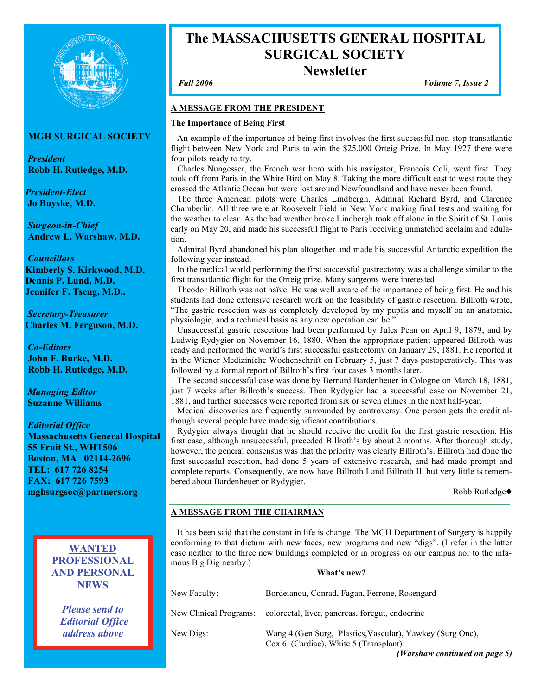

# **MGH SURGICAL SOCIETY**

*President* **Robb H. Rutledge, M.D.**

*President-Elect* **Jo Buyske, M.D.**

*Surgeon-in-Chief* **Andrew L. Warshaw, M.D.**

*Councillors* **Kimberly S. Kirkwood, M.D. Dennis P. Lund, M.D. Jennifer F. Tseng, M.D..**

*Secretary-Treasurer* **Charles M. Ferguson, M.D.**

*Co-Editors* **John F. Burke, M.D. Robb H. Rutledge, M.D.**

*Managing Editor* **Suzanne Williams**

*Editorial Office* **Massachusetts General Hospital 55 Fruit St., WHT506 Boston, MA 02114-2696 TEL: 617 726 8254 FAX: 617 726 7593 mghsurgsoc@partners.org**

> **WANTED PROFESSIONAL AND PERSONAL NEWS**

*Please send to Editorial Office address above*

# **The MASSACHUSETTS GENERAL HOSPITAL SURGICAL SOCIETY Newsletter**

*Fall 2006 Volume 7, Issue 2*

# **A MESSAGE FROM THE PRESIDENT**

# **The Importance of Being First**

An example of the importance of being first involves the first successful non-stop transatlantic flight between New York and Paris to win the \$25,000 Orteig Prize. In May 1927 there were four pilots ready to try.

Charles Nungesser, the French war hero with his navigator, Francois Coli, went first. They took off from Paris in the White Bird on May 8. Taking the more difficult east to west route they crossed the Atlantic Ocean but were lost around Newfoundland and have never been found.

The three American pilots were Charles Lindbergh, Admiral Richard Byrd, and Clarence Chamberlin. All three were at Roosevelt Field in New York making final tests and waiting for the weather to clear. As the bad weather broke Lindbergh took off alone in the Spirit of St. Louis early on May 20, and made his successful flight to Paris receiving unmatched acclaim and adulation.

Admiral Byrd abandoned his plan altogether and made his successful Antarctic expedition the following year instead.

In the medical world performing the first successful gastrectomy was a challenge similar to the first transatlantic flight for the Orteig prize. Many surgeons were interested.

Theodor Billroth was not naïve. He was well aware of the importance of being first. He and his students had done extensive research work on the feasibility of gastric resection. Billroth wrote, "The gastric resection was as completely developed by my pupils and myself on an anatomic, physiologic, and a technical basis as any new operation can be."

Unsuccessful gastric resections had been performed by Jules Pean on April 9, 1879, and by Ludwig Rydygier on November 16, 1880. When the appropriate patient appeared Billroth was ready and performed the world's first successful gastrectomy on January 29, 1881. He reported it in the Wiener Mediziniche Wochenschrift on February 5, just 7 days postoperatively. This was followed by a formal report of Billroth's first four cases 3 months later.

The second successful case was done by Bernard Bardenheuer in Cologne on March 18, 1881, just 7 weeks after Billroth's success. Then Rydygier had a successful case on November 21, 1881, and further successes were reported from six or seven clinics in the next half-year.

Medical discoveries are frequently surrounded by controversy. One person gets the credit although several people have made significant contributions.

Rydygier always thought that he should receive the credit for the first gastric resection. His first case, although unsuccessful, preceded Billroth's by about 2 months. After thorough study, however, the general consensus was that the priority was clearly Billroth's. Billroth had done the first successful resection, had done 5 years of extensive research, and had made prompt and complete reports. Consequently, we now have Billroth I and Billroth II, but very little is remembered about Bardenheuer or Rydygier.

Robb Rutledge

# **A MESSAGE FROM THE CHAIRMAN**

It has been said that the constant in life is change. The MGH Department of Surgery is happily conforming to that dictum with new faces, new programs and new "digs". (I refer in the latter case neither to the three new buildings completed or in progress on our campus nor to the infamous Big Dig nearby.)

**What's new?**

| New Faculty:           | Bordeianou, Conrad, Fagan, Ferrone, Rosengard                                                                                       |
|------------------------|-------------------------------------------------------------------------------------------------------------------------------------|
| New Clinical Programs: | colorectal, liver, pancreas, foregut, endocrine                                                                                     |
| New Digs:              | Wang 4 (Gen Surg, Plastics, Vascular), Yawkey (Surg Onc),<br>Cox 6 (Cardiac), White 5 (Transplant)<br>(Warshaw continued on page 5) |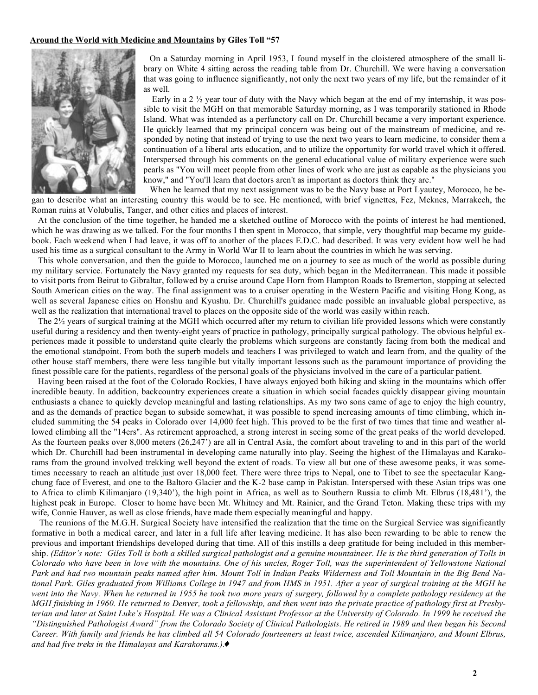#### **Around the World with Medicine and Mountains by Giles Toll "57**



On a Saturday morning in April 1953, I found myself in the cloistered atmosphere of the small library on White 4 sitting across the reading table from Dr. Churchill. We were having a conversation that was going to influence significantly, not only the next two years of my life, but the remainder of it as well.

Early in a 2  $\frac{1}{2}$  year tour of duty with the Navy which began at the end of my internship, it was possible to visit the MGH on that memorable Saturday morning, as I was temporarily stationed in Rhode Island. What was intended as a perfunctory call on Dr. Churchill became a very important experience. He quickly learned that my principal concern was being out of the mainstream of medicine, and responded by noting that instead of trying to use the next two years to learn medicine, to consider them a continuation of a liberal arts education, and to utilize the opportunity for world travel which it offered. Interspersed through his comments on the general educational value of military experience were such pearls as "You will meet people from other lines of work who are just as capable as the physicians you know," and "You'll learn that doctors aren't as important as doctors think they are."

When he learned that my next assignment was to be the Navy base at Port Lyautey, Morocco, he began to describe what an interesting country this would be to see. He mentioned, with brief vignettes, Fez, Meknes, Marrakech, the Roman ruins at Volubulis, Tanger, and other cities and places of interest.

At the conclusion of the time together, he handed me a sketched outline of Morocco with the points of interest he had mentioned, which he was drawing as we talked. For the four months I then spent in Morocco, that simple, very thoughtful map became my guidebook. Each weekend when I had leave, it was off to another of the places E.D.C. had described. It was very evident how well he had used his time as a surgical consultant to the Army in World War II to learn about the countries in which he was serving.

This whole conversation, and then the guide to Morocco, launched me on a journey to see as much of the world as possible during my military service. Fortunately the Navy granted my requests for sea duty, which began in the Mediterranean. This made it possible to visit ports from Beirut to Gibraltar, followed by a cruise around Cape Horn from Hampton Roads to Bremerton, stopping at selected South American cities on the way. The final assignment was to a cruiser operating in the Western Pacific and visiting Hong Kong, as well as several Japanese cities on Honshu and Kyushu. Dr. Churchill's guidance made possible an invaluable global perspective, as well as the realization that international travel to places on the opposite side of the world was easily within reach.

The  $2\frac{1}{2}$  years of surgical training at the MGH which occurred after my return to civilian life provided lessons which were constantly useful during a residency and then twenty-eight years of practice in pathology, principally surgical pathology. The obvious helpful experiences made it possible to understand quite clearly the problems which surgeons are constantly facing from both the medical and the emotional standpoint. From both the superb models and teachers I was privileged to watch and learn from, and the quality of the other house staff members, there were less tangible but vitally important lessons such as the paramount importance of providing the finest possible care for the patients, regardless of the personal goals of the physicians involved in the care of a particular patient.

Having been raised at the foot of the Colorado Rockies, I have always enjoyed both hiking and skiing in the mountains which offer incredible beauty. In addition, backcountry experiences create a situation in which social facades quickly disappear giving mountain enthusiasts a chance to quickly develop meaningful and lasting relationships. As my two sons came of age to enjoy the high country, and as the demands of practice began to subside somewhat, it was possible to spend increasing amounts of time climbing, which included summiting the 54 peaks in Colorado over 14,000 feet high. This proved to be the first of two times that time and weather allowed climbing all the "14ers". As retirement approached, a strong interest in seeing some of the great peaks of the world developed. As the fourteen peaks over 8,000 meters (26,247') are all in Central Asia, the comfort about traveling to and in this part of the world which Dr. Churchill had been instrumental in developing came naturally into play. Seeing the highest of the Himalayas and Karakorams from the ground involved trekking well beyond the extent of roads. To view all but one of these awesome peaks, it was sometimes necessary to reach an altitude just over 18,000 feet. There were three trips to Nepal, one to Tibet to see the spectacular Kangchung face of Everest, and one to the Baltoro Glacier and the K-2 base camp in Pakistan. Interspersed with these Asian trips was one to Africa to climb Kilimanjaro (19,340'), the high point in Africa, as well as to Southern Russia to climb Mt. Elbrus (18,481'), the highest peak in Europe. Closer to home have been Mt. Whitney and Mt. Rainier, and the Grand Teton. Making these trips with my wife, Connie Hauver, as well as close friends, have made them especially meaningful and happy.

The reunions of the M.G.H. Surgical Society have intensified the realization that the time on the Surgical Service was significantly formative in both a medical career, and later in a full life after leaving medicine. It has also been rewarding to be able to renew the previous and important friendships developed during that time. All of this instills a deep gratitude for being included in this membership. (Editor's note: Giles Toll is both a skilled surgical pathologist and a genuine mountaineer. He is the third generation of Tolls in Colorado who have been in love with the mountains. One of his uncles, Roger Toll, was the superintendent of Yellowstone National Park and had two mountain peaks named after him. Mount Toll in Indian Peaks Wilderness and Toll Mountain in the Big Bend National Park. Giles graduated from Williams College in 1947 and from HMS in 1951. After a year of surgical training at the MGH he went into the Navy. When he returned in 1955 he took two more years of surgery, followed by a complete pathology residency at the MGH finishing in 1960. He returned to Denver, took a fellowship, and then went into the private practice of pathology first at Presbyterian and later at Saint Luke's Hospital. He was a Clinical Assistant Professor at the University of Colorado. In 1999 he received the "Distinguished Pathologist Award" from the Colorado Society of Clinical Pathologists. He retired in 1989 and then began his Second Career. With family and friends he has climbed all 54 Colorado fourteeners at least twice, ascended Kilimanjaro, and Mount Elbrus, *and had five treks in the Himalayas and Karakorams.)*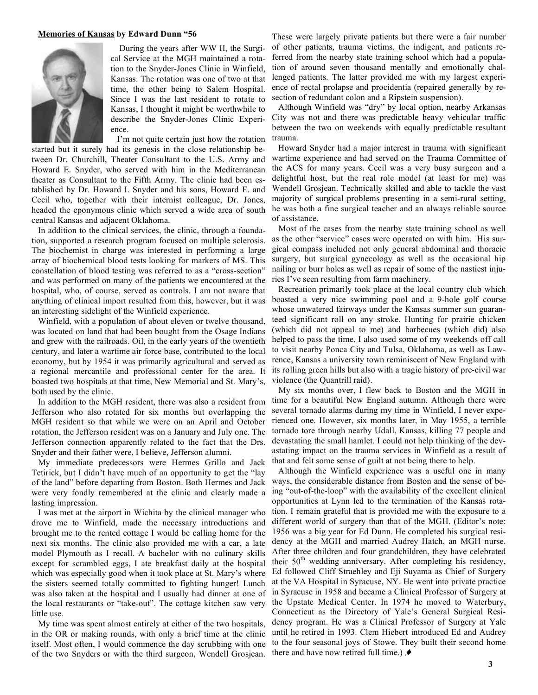#### **Memories of Kansas by Edward Dunn "56**



During the years after WW II, the Surgical Service at the MGH maintained a rotation to the Snyder-Jones Clinic in Winfield, Kansas. The rotation was one of two at that time, the other being to Salem Hospital. Since I was the last resident to rotate to Kansas, I thought it might be worthwhile to describe the Snyder-Jones Clinic Experience.

I'm not quite certain just how the rotation started but it surely had its genesis in the close relationship between Dr. Churchill, Theater Consultant to the U.S. Army and Howard E. Snyder, who served with him in the Mediterranean theater as Consultant to the Fifth Army. The clinic had been established by Dr. Howard I. Snyder and his sons, Howard E. and Cecil who, together with their internist colleague, Dr. Jones, headed the eponymous clinic which served a wide area of south central Kansas and adjacent Oklahoma.

In addition to the clinical services, the clinic, through a foundation, supported a research program focused on multiple sclerosis. The biochemist in charge was interested in performing a large array of biochemical blood tests looking for markers of MS. This constellation of blood testing was referred to as a "cross-section" and was performed on many of the patients we encountered at the hospital, who, of course, served as controls. I am not aware that anything of clinical import resulted from this, however, but it was an interesting sidelight of the Winfield experience.

Winfield, with a population of about eleven or twelve thousand, was located on land that had been bought from the Osage Indians and grew with the railroads. Oil, in the early years of the twentieth century, and later a wartime air force base, contributed to the local economy, but by 1954 it was primarily agricultural and served as a regional mercantile and professional center for the area. It boasted two hospitals at that time, New Memorial and St. Mary's, both used by the clinic.

In addition to the MGH resident, there was also a resident from Jefferson who also rotated for six months but overlapping the MGH resident so that while we were on an April and October rotation, the Jefferson resident was on a January and July one. The Jefferson connection apparently related to the fact that the Drs. Snyder and their father were, I believe, Jefferson alumni.

My immediate predecessors were Hermes Grillo and Jack Tetirick, but I didn't have much of an opportunity to get the "lay of the land" before departing from Boston. Both Hermes and Jack were very fondly remembered at the clinic and clearly made a lasting impression.

I was met at the airport in Wichita by the clinical manager who drove me to Winfield, made the necessary introductions and brought me to the rented cottage I would be calling home for the next six months. The clinic also provided me with a car, a late model Plymouth as I recall. A bachelor with no culinary skills except for scrambled eggs, I ate breakfast daily at the hospital which was especially good when it took place at St. Mary's where the sisters seemed totally committed to fighting hunger! Lunch was also taken at the hospital and I usually had dinner at one of the local restaurants or "take-out". The cottage kitchen saw very little use.

My time was spent almost entirely at either of the two hospitals, in the OR or making rounds, with only a brief time at the clinic itself. Most often, I would commence the day scrubbing with one of the two Snyders or with the third surgeon, Wendell Grosjean.

These were largely private patients but there were a fair number of other patients, trauma victims, the indigent, and patients referred from the nearby state training school which had a population of around seven thousand mentally and emotionally challenged patients. The latter provided me with my largest experience of rectal prolapse and procidentia (repaired generally by resection of redundant colon and a Ripstein suspension).

Although Winfield was "dry" by local option, nearby Arkansas City was not and there was predictable heavy vehicular traffic between the two on weekends with equally predictable resultant trauma.

Howard Snyder had a major interest in trauma with significant wartime experience and had served on the Trauma Committee of the ACS for many years. Cecil was a very busy surgeon and a delightful host, but the real role model (at least for me) was Wendell Grosjean. Technically skilled and able to tackle the vast majority of surgical problems presenting in a semi-rural setting, he was both a fine surgical teacher and an always reliable source of assistance.

Most of the cases from the nearby state training school as well as the other "service" cases were operated on with him. His surgical compass included not only general abdominal and thoracic surgery, but surgical gynecology as well as the occasional hip nailing or burr holes as well as repair of some of the nastiest injuries I've seen resulting from farm machinery.

Recreation primarily took place at the local country club which boasted a very nice swimming pool and a 9-hole golf course whose unwatered fairways under the Kansas summer sun guaranteed significant roll on any stroke. Hunting for prairie chicken (which did not appeal to me) and barbecues (which did) also helped to pass the time. I also used some of my weekends off call to visit nearby Ponca City and Tulsa, Oklahoma, as well as Lawrence, Kansas a university town reminiscent of New England with its rolling green hills but also with a tragic history of pre-civil war violence (the Quantrill raid).

My six months over, I flew back to Boston and the MGH in time for a beautiful New England autumn. Although there were several tornado alarms during my time in Winfield, I never experienced one. However, six months later, in May 1955, a terrible tornado tore through nearby Udall, Kansas, killing 77 people and devastating the small hamlet. I could not help thinking of the devastating impact on the trauma services in Winfield as a result of that and felt some sense of guilt at not being there to help.

Although the Winfield experience was a useful one in many ways, the considerable distance from Boston and the sense of being "out-of-the-loop" with the availability of the excellent clinical opportunities at Lynn led to the termination of the Kansas rotation. I remain grateful that is provided me with the exposure to a different world of surgery than that of the MGH. (Editor's note: 1956 was a big year for Ed Dunn. He completed his surgical residency at the MGH and married Audrey Hatch, an MGH nurse. After three children and four grandchildren, they have celebrated their  $50<sup>th</sup>$  wedding anniversary. After completing his residency, Ed followed Cliff Straehley and Eji Suyama as Chief of Surgery at the VA Hospital in Syracuse, NY. He went into private practice in Syracuse in 1958 and became a Clinical Professor of Surgery at the Upstate Medical Center. In 1974 he moved to Waterbury, Connecticut as the Directory of Yale's General Surgical Residency program. He was a Clinical Professor of Surgery at Yale until he retired in 1993. Clem Hiebert introduced Ed and Audrey to the four seasonal joys of Stowe. They built their second home there and have now retired full time.)  $\bullet$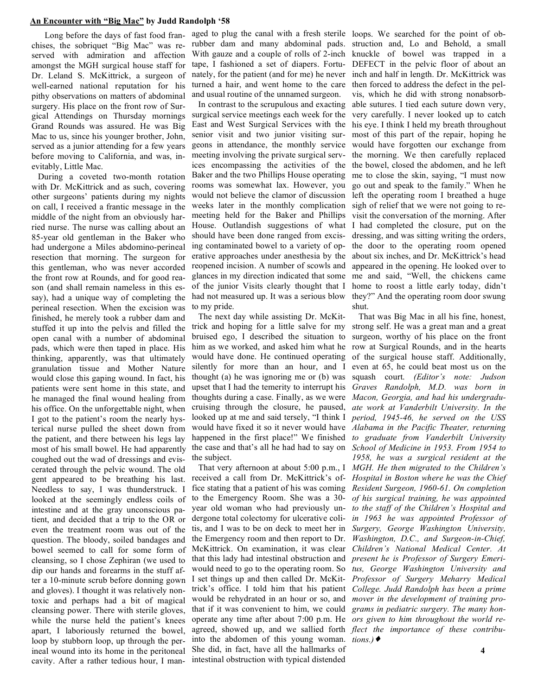#### **An Encounter with "Big Mac" by Judd Randolph '58**

Long before the days of fast food franchises, the sobriquet "Big Mac" was reserved with admiration and affection amongst the MGH surgical house staff for Dr. Leland S. McKittrick, a surgeon of well-earned national reputation for his pithy observations on matters of abdominal surgery. His place on the front row of Surgical Attendings on Thursday mornings Grand Rounds was assured. He was Big Mac to us, since his younger brother, John, served as a junior attending for a few years before moving to California, and was, inevitably, Little Mac.

During a coveted two-month rotation with Dr. McKittrick and as such, covering other surgeons' patients during my nights on call, I received a frantic message in the middle of the night from an obviously harried nurse. The nurse was calling about an 85-year old gentleman in the Baker who had undergone a Miles abdomino-perineal resection that morning. The surgeon for this gentleman, who was never accorded the front row at Rounds, and for good reason (and shall remain nameless in this essay), had a unique way of completing the perineal resection. When the excision was finished, he merely took a rubber dam and stuffed it up into the pelvis and filled the open canal with a number of abdominal pads, which were then taped in place. His thinking, apparently, was that ultimately granulation tissue and Mother Nature would close this gaping wound. In fact, his patients were sent home in this state, and he managed the final wound healing from his office. On the unforgettable night, when I got to the patient's room the nearly hysterical nurse pulled the sheet down from the patient, and there between his legs lay coughed out the wad of dressings and eviscerated through the pelvic wound. The old gent appeared to be breathing his last. Needless to say, I was thunderstruck. I looked at the seemingly endless coils of intestine and at the gray unconscious patient, and decided that a trip to the OR or even the treatment room was out of the question. The bloody, soiled bandages and bowel seemed to call for some form of cleansing, so I chose Zephiran (we used to dip our hands and forearms in the stuff after a 10-minute scrub before donning gown and gloves). I thought it was relatively nontoxic and perhaps had a bit of magical cleansing power. There with sterile gloves, while the nurse held the patient's knees apart, I laboriously returned the bowel, loop by stubborn loop, up through the perineal wound into its home in the peritoneal cavity. After a rather tedious hour, I manmost of his small bowel. He had apparently

aged to plug the canal with a fresh sterile loops. We searched for the point of obrubber dam and many abdominal pads. With gauze and a couple of rolls of 2-inch tape, I fashioned a set of diapers. Fortunately, for the patient (and for me) he never turned a hair, and went home to the care and usual routine of the unnamed surgeon.

In contrast to the scrupulous and exacting surgical service meetings each week for the East and West Surgical Services with the senior visit and two junior visiting surgeons in attendance, the monthly service meeting involving the private surgical services encompassing the activities of the Baker and the two Phillips House operating rooms was somewhat lax. However, you would not believe the clamor of discussion weeks later in the monthly complication meeting held for the Baker and Phillips House. Outlandish suggestions of what should have been done ranged from excising contaminated bowel to a variety of operative approaches under anesthesia by the reopened incision. A number of scowls and glances in my direction indicated that some of the junior Visits clearly thought that I had not measured up. It was a serious blow to my pride.

The next day while assisting Dr. McKittrick and hoping for a little salve for my bruised ego, I described the situation to him as we worked, and asked him what he would have done. He continued operating silently for more than an hour, and I thought (a) he was ignoring me or (b) was upset that I had the temerity to interrupt his thoughts during a case. Finally, as we were cruising through the closure, he paused, looked up at me and said tersely, "I think I would have fixed it so it never would have *Alabama in the Pacific Theater, returning* happened in the first place!" We finished the case and that's all he had had to say on *School of Medicine in 1953. From 1954 to* the subject.

That very afternoon at about 5:00 p.m., I received a call from Dr. McKittrick's office stating that a patient of his was coming to the Emergency Room. She was a 30 year old woman who had previously undergone total colectomy for ulcerative colitis, and I was to be on deck to meet her in the Emergency room and then report to Dr. McKittrick. On examination, it was clear that this lady had intestinal obstruction and would need to go to the operating room. So I set things up and then called Dr. McKittrick's office. I told him that his patient would be rehydrated in an hour or so, and that if it was convenient to him, we could operate any time after about 7:00 p.m. He *ors given to him throughout the world re*agreed, showed up, and we sallied forth *flect the importance of these contribu*into the abdomen of this young woman. *tions.)* She did, in fact, have all the hallmarks of intestinal obstruction with typical distended

struction and, Lo and Behold, a small knuckle of bowel was trapped in a DEFECT in the pelvic floor of about an inch and half in length. Dr. McKittrick was then forced to address the defect in the pelvis, which he did with strong nonabsorbable sutures. I tied each suture down very, very carefully. I never looked up to catch his eye. I think I held my breath throughout most of this part of the repair, hoping he would have forgotten our exchange from the morning. We then carefully replaced the bowel, closed the abdomen, and he left me to close the skin, saying, "I must now go out and speak to the family." When he left the operating room I breathed a huge sigh of relief that we were not going to revisit the conversation of the morning. After I had completed the closure, put on the dressing, and was sitting writing the orders, the door to the operating room opened about six inches, and Dr. McKittrick's head appeared in the opening. He looked over to me and said, "Well, the chickens came home to roost a little early today, didn't they?" And the operating room door swung shut.

That was Big Mac in all his fine, honest, strong self. He was a great man and a great surgeon, worthy of his place on the front row at Surgical Rounds, and in the hearts of the surgical house staff. Additionally, even at 65, he could beat most us on the squash court. *(Editor's note: Judson Graves Randolph, M.D. was born in Macon, Georgia, and had his undergraduate work at Vanderbilt University. In the period, 1945-46, he served on the USS to graduate from Vanderbilt University 1958, he was a surgical resident at the MGH. He then migrated to the Children's Hospital in Boston where he was the Chief Resident Surgeon, 1960-61. On completion of his surgical training, he was appointed to the staff of the Children's Hospital and in 1963 he was appointed Professor of Surgery, George Washington University, Children's National Medical Center. At present he is Professor of Surgery Emeritus, George Washington University and Professor of Surgery Meharry Medical College. Judd Randolph has been a prime mover in the development of training programs in pediatric surgery. The many hon-Washington, D.C., and Surgeon-in-Chief,*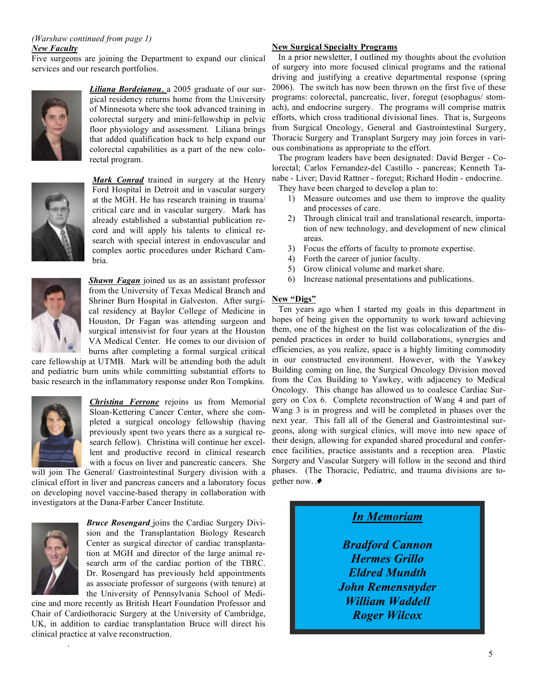#### *(Warshaw continued from page 1) New Faculty*

Five surgeons are joining the Department to expand our clinical services and our research portfolios.



*Liliana Bordeianou*, a 2005 graduate of our surgical residency returns home from the University of Minnesota where she took advanced training in colorectal surgery and mini-fellowship in pelvic floor physiology and assessment. Liliana brings that added qualification back to help expand our colorectal capabilities as a part of the new colorectal program.



*Mark Conrad* trained in surgery at the Henry Ford Hospital in Detroit and in vascular surgery at the MGH. He has research training in trauma/ critical care and in vascular surgery. Mark has already established a substantial publication record and will apply his talents to clinical research with special interest in endovascular and complex aortic procedures under Richard Cambria.



*Shawn Fagan* joined us as an assistant professor from the University of Texas Medical Branch and Shriner Burn Hospital in Galveston. After surgical residency at Baylor College of Medicine in Houston, Dr Fagan was attending surgeon and surgical intensivist for four years at the Houston VA Medical Center. He comes to our division of burns after completing a formal surgical critical

care fellowship at UTMB. Mark will be attending both the adult and pediatric burn units while committing substantial efforts to basic research in the inflammatory response under Ron Tompkins.



*Christina Ferrone* rejoins us from Memorial Sloan-Kettering Cancer Center, where she completed a surgical oncology fellowship (having previously spent two years there as a surgical research fellow). Christina will continue her excellent and productive record in clinical research with a focus on liver and pancreatic cancers. She

will join The General/ Gastrointestinal Surgery division with a clinical effort in liver and pancreas cancers and a laboratory focus on developing novel vaccine-based therapy in collaboration with investigators at the Dana-Farber Cancer Institute.



.

*Bruce Rosengard* joins the Cardiac Surgery Division and the Transplantation Biology Research Center as surgical director of cardiac transplantation at MGH and director of the large animal research arm of the cardiac portion of the TBRC. Dr. Rosengard has previously held appointments as associate professor of surgeons (with tenure) at the University of Pennsylvania School of Medi-

cine and more recently as British Heart Foundation Professor and Chair of Cardiothoracic Surgery at the University of Cambridge, UK, in addition to cardiac transplantation Bruce will direct his clinical practice at valve reconstruction.

# **New Surgical Specialty Programs**

In a prior newsletter, I outlined my thoughts about the evolution of surgery into more focused clinical programs and the rational driving and justifying a creative departmental response (spring 2006). The switch has now been thrown on the first five of these programs: colorectal, pancreatic, liver, foregut (esophagus/ stomach), and endocrine surgery. The programs will comprise matrix efforts, which cross traditional divisional lines. That is, Surgeons from Surgical Oncology, General and Gastrointestinal Surgery, Thoracic Surgery and Transplant Surgery may join forces in various combinations as appropriate to the effort.

The program leaders have been designated: David Berger - Colorectal; Carlos Fernandez-del Castillo - pancreas; Kenneth Tanabe - Liver; David Rattner - foregut; Richard Hodin - endocrine.

They have been charged to develop a plan to:

- 1) Measure outcomes and use them to improve the quality and processes of care.
- 2) Through clinical trail and translational research, importation of new technology, and development of new clinical areas.
- 3) Focus the efforts of faculty to promote expertise.
- 4) Forth the career of junior faculty.
- 5) Grow clinical volume and market share.
- 6) Increase national presentations and publications.

# **New "Digs"**

Ten years ago when I started my goals in this department in hopes of being given the opportunity to work toward achieving them, one of the highest on the list was colocalization of the dispended practices in order to build collaborations, synergies and efficiencies, as you realize, space is a highly limiting commodity in our constructed environment. However, with the Yawkey Building coming on line, the Surgical Oncology Division moved from the Cox Building to Yawkey, with adjacency to Medical Oncology. This change has allowed us to coalesce Cardiac Surgery on Cox 6. Complete reconstruction of Wang 4 and part of Wang 3 is in progress and will be completed in phases over the next year. This fall all of the General and Gastrointestinal surgeons, along with surgical clinics, will move into new space of their design, allowing for expanded shared procedural and conference facilities, practice assistants and a reception area. Plastic Surgery and Vascular Surgery will follow in the second and third phases. (The Thoracic, Pediatric, and trauma divisions are together now.



*Bradford Cannon Hermes Grillo Eldred Mundth John Remensnyder William Waddell Roger Wilcox*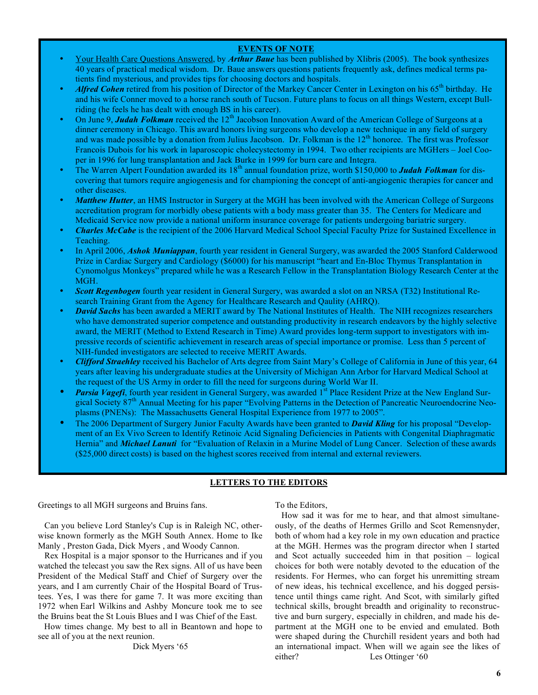### **EVENTS OF NOTE**

- Your Health Care Questions Answered, by *Arthur Baue* has been published by Xlibris (2005). The book synthesizes 40 years of practical medical wisdom. Dr. Baue answers questions patients frequently ask, defines medical terms patients find mysterious, and provides tips for choosing doctors and hospitals.
- *Alfred Cohen* retired from his position of Director of the Markey Cancer Center in Lexington on his 65th birthday. He and his wife Conner moved to a horse ranch south of Tucson. Future plans to focus on all things Western, except Bullriding (he feels he has dealt with enough BS in his career).
- On June 9, *Judah Folkman* received the 12th Jacobson Innovation Award of the American College of Surgeons at a dinner ceremony in Chicago. This award honors living surgeons who develop a new technique in any field of surgery and was made possible by a donation from Julius Jacobson. Dr. Folkman is the 12<sup>th</sup> honoree. The first was Professor Francois Dubois for his work in laparoscopic cholecystectomy in 1994. Two other recipients are MGHers – Joel Cooper in 1996 for lung transplantation and Jack Burke in 1999 for burn care and Integra.
- The Warren Alpert Foundation awarded its 18<sup>th</sup> annual foundation prize, worth \$150,000 to **Judah Folkman** for discovering that tumors require angiogenesis and for championing the concept of anti-angiogenic therapies for cancer and other diseases.
- *Matthew Hutter*, an HMS Instructor in Surgery at the MGH has been involved with the American College of Surgeons accreditation program for morbidly obese patients with a body mass greater than 35. The Centers for Medicare and Medicaid Service now provide a national uniform insurance coverage for patients undergoing bariatric surgery.
- *Charles McCabe* is the recipient of the 2006 Harvard Medical School Special Faculty Prize for Sustained Excellence in Teaching.
- In April 2006, *Ashok Muniappan*, fourth year resident in General Surgery, was awarded the 2005 Stanford Calderwood Prize in Cardiac Surgery and Cardiology (\$6000) for his manuscript "heart and En-Bloc Thymus Transplantation in Cynomolgus Monkeys" prepared while he was a Research Fellow in the Transplantation Biology Research Center at the MGH.
- *Scott Regenbogen* fourth year resident in General Surgery, was awarded a slot on an NRSA (T32) Institutional Research Training Grant from the Agency for Healthcare Research and Qaulity (AHRQ).
- *David Sachs* has been awarded a MERIT award by The National Institutes of Health. The NIH recognizes researchers who have demonstrated superior competence and outstanding productivity in research endeavors by the highly selective award, the MERIT (Method to Extend Research in Time) Award provides long-term support to investigators with impressive records of scientific achievement in research areas of special importance or promise. Less than 5 percent of NIH-funded investigators are selected to receive MERIT Awards.
- *Clifford Straehley* received his Bachelor of Arts degree from Saint Mary's College of California in June of this year, 64 years after leaving his undergraduate studies at the University of Michigan Ann Arbor for Harvard Medical School at the request of the US Army in order to fill the need for surgeons during World War II.
- *Parsia Vagefi*, fourth year resident in General Surgery, was awarded 1<sup>st</sup> Place Resident Prize at the New England Surgical Society 87<sup>th</sup> Annual Meeting for his paper "Evolving Patterns in the Detection of Pancreatic Neuroendocrine Neoplasms (PNENs): The Massachusetts General Hospital Experience from 1977 to 2005".
- The 2006 Department of Surgery Junior Faculty Awards have been granted to *David Kling* for his proposal "Development of an Ex Vivo Screen to Identify Retinoic Acid Signaling Deficiencies in Patients with Congenital Diaphragmatic Hernia" and *Michael Lanuti* for "Evaluation of Relaxin in a Murine Model of Lung Cancer. Selection of these awards (\$25,000 direct costs) is based on the highest scores received from internal and external reviewers.

# **LETTERS TO THE EDITORS**

Greetings to all MGH surgeons and Bruins fans.

Can you believe Lord Stanley's Cup is in Raleigh NC, otherwise known formerly as the MGH South Annex. Home to Ike Manly , Preston Gada, Dick Myers , and Woody Cannon.

Rex Hospital is a major sponsor to the Hurricanes and if you watched the telecast you saw the Rex signs. All of us have been President of the Medical Staff and Chief of Surgery over the years, and I am currently Chair of the Hospital Board of Trustees. Yes, I was there for game 7. It was more exciting than 1972 when Earl Wilkins and Ashby Moncure took me to see the Bruins beat the St Louis Blues and I was Chief of the East.

How times change. My best to all in Beantown and hope to see all of you at the next reunion.

Dick Myers '65

To the Editors,

How sad it was for me to hear, and that almost simultaneously, of the deaths of Hermes Grillo and Scot Remensnyder, both of whom had a key role in my own education and practice at the MGH. Hermes was the program director when I started and Scot actually succeeded him in that position – logical choices for both were notably devoted to the education of the residents. For Hermes, who can forget his unremitting stream of new ideas, his technical excellence, and his dogged persistence until things came right. And Scot, with similarly gifted technical skills, brought breadth and originality to reconstructive and burn surgery, especially in children, and made his department at the MGH one to be envied and emulated. Both were shaped during the Churchill resident years and both had an international impact. When will we again see the likes of either? Les Ottinger '60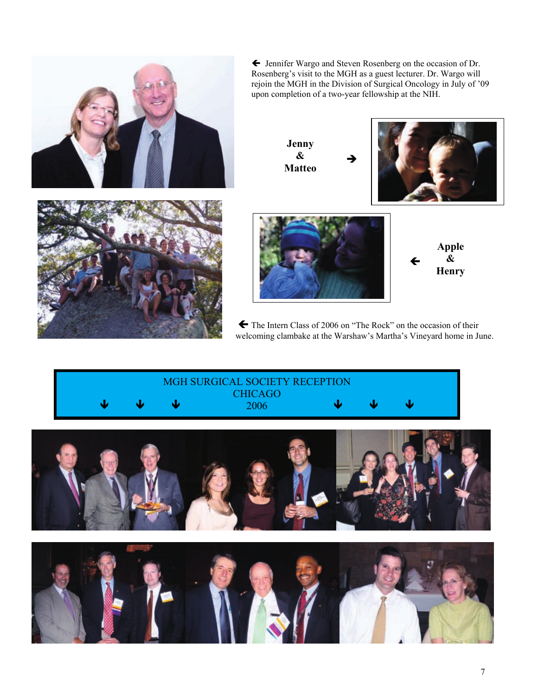

← Jennifer Wargo and Steven Rosenberg on the occasion of Dr. Rosenberg's visit to the MGH as a guest lecturer. Dr. Wargo will<br>rejoin the MGH in the Division of Surgical Oncology in July of '09 upon completion of a two-year fellowship at the NIH.

> Jenny  $\boldsymbol{\&}$ **Matteo**





Apple  $\boldsymbol{\&}$ **Henry** 

The Intern Class of 2006 on "The Rock" on the occasion of their welcoming clambake at the Warshaw's Martha's Vineyard home in June.